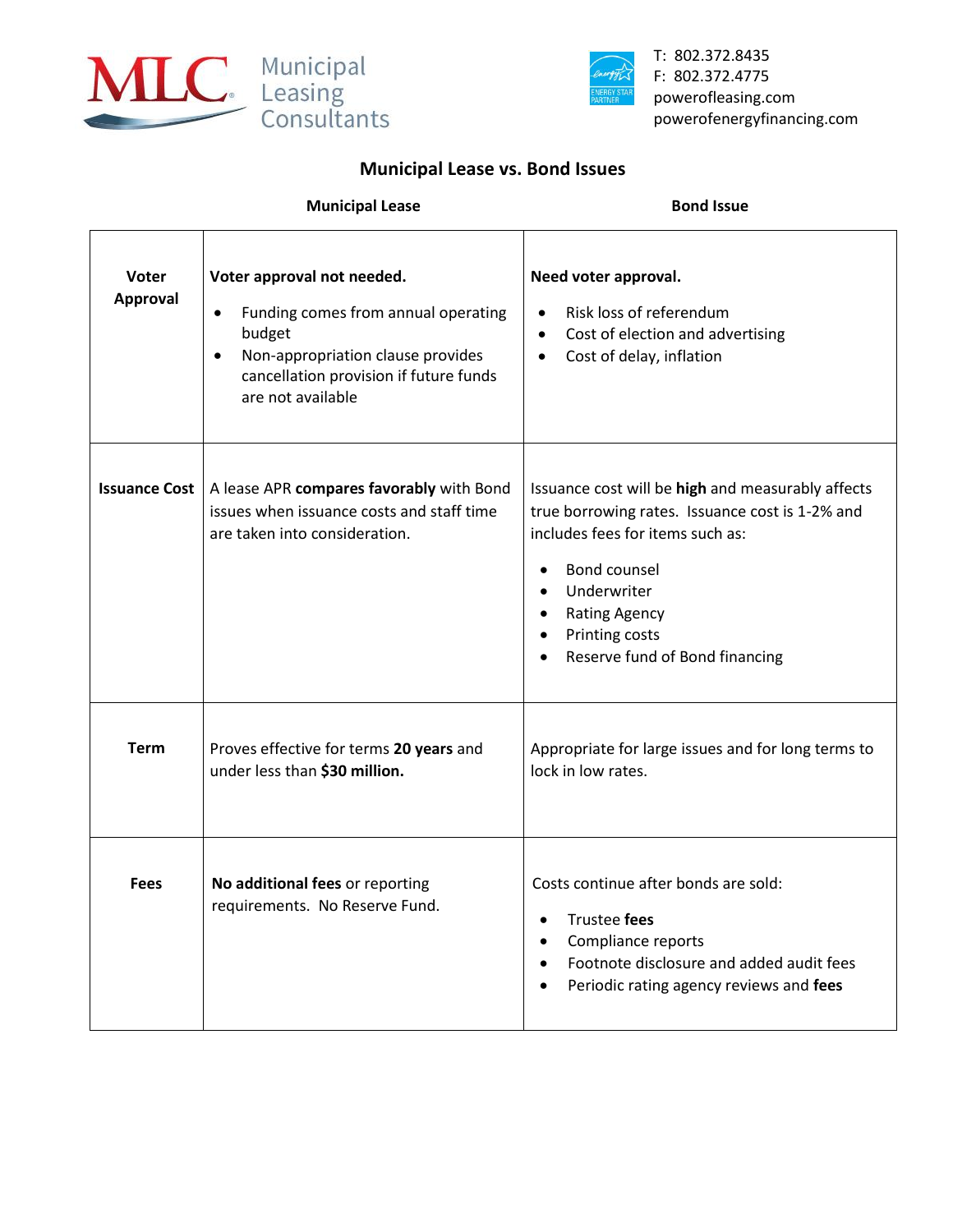



T: 802.372.8435 F: 802.372.4775 powerofleasing.com powerofenergyfinancing.com

## **Municipal Lease vs. Bond Issues**

| <b>Municipal Lease</b> | <b>Bond Issue</b> |
|------------------------|-------------------|
|                        |                   |

| Voter<br><b>Approval</b> | Voter approval not needed.<br>Funding comes from annual operating<br>$\bullet$<br>budget<br>Non-appropriation clause provides<br>$\bullet$<br>cancellation provision if future funds<br>are not available | Need voter approval.<br>Risk loss of referendum<br>$\bullet$<br>Cost of election and advertising<br>$\bullet$<br>Cost of delay, inflation<br>$\bullet$                                                                                                                        |
|--------------------------|-----------------------------------------------------------------------------------------------------------------------------------------------------------------------------------------------------------|-------------------------------------------------------------------------------------------------------------------------------------------------------------------------------------------------------------------------------------------------------------------------------|
| <b>Issuance Cost</b>     | A lease APR compares favorably with Bond<br>issues when issuance costs and staff time<br>are taken into consideration.                                                                                    | Issuance cost will be high and measurably affects<br>true borrowing rates. Issuance cost is 1-2% and<br>includes fees for items such as:<br>Bond counsel<br>$\bullet$<br>Underwriter<br>$\bullet$<br><b>Rating Agency</b><br>Printing costs<br>Reserve fund of Bond financing |
| <b>Term</b>              | Proves effective for terms 20 years and<br>under less than \$30 million.                                                                                                                                  | Appropriate for large issues and for long terms to<br>lock in low rates.                                                                                                                                                                                                      |
| <b>Fees</b>              | No additional fees or reporting<br>requirements. No Reserve Fund.                                                                                                                                         | Costs continue after bonds are sold:<br>Trustee fees<br>$\bullet$<br>Compliance reports<br>$\bullet$<br>Footnote disclosure and added audit fees<br>$\bullet$<br>Periodic rating agency reviews and fees                                                                      |